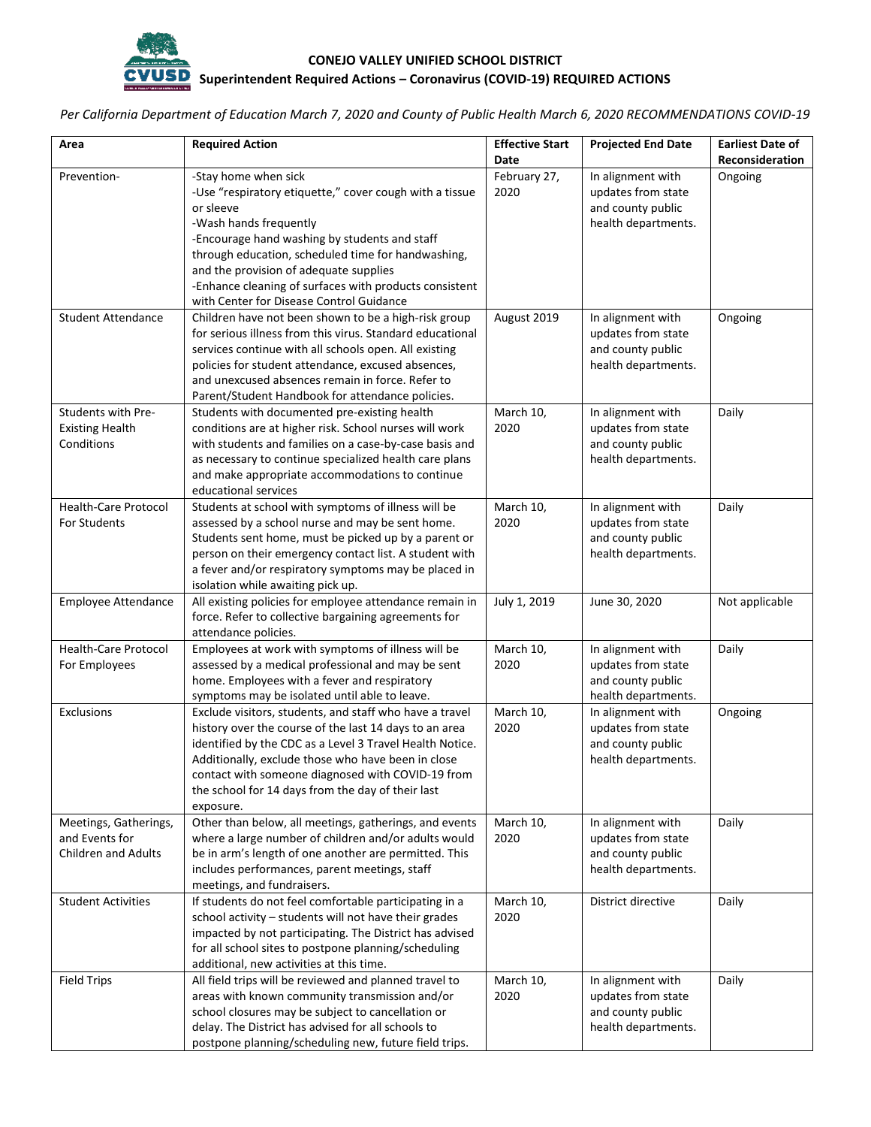

## **CONEJO VALLEY UNIFIED SCHOOL DISTRICT Superintendent Required Actions – Coronavirus (COVID-19) REQUIRED ACTIONS**

*Per California Department of Education March 7, 2020 and County of Public Health March 6, 2020 RECOMMENDATIONS COVID-19*

| Area                        | <b>Required Action</b>                                    | <b>Effective Start</b> | <b>Projected End Date</b> | <b>Earliest Date of</b> |
|-----------------------------|-----------------------------------------------------------|------------------------|---------------------------|-------------------------|
|                             |                                                           | Date                   |                           | Reconsideration         |
| Prevention-                 | -Stay home when sick                                      | February 27,           | In alignment with         | Ongoing                 |
|                             | -Use "respiratory etiquette," cover cough with a tissue   | 2020                   | updates from state        |                         |
|                             | or sleeve                                                 |                        | and county public         |                         |
|                             | -Wash hands frequently                                    |                        | health departments.       |                         |
|                             | -Encourage hand washing by students and staff             |                        |                           |                         |
|                             | through education, scheduled time for handwashing,        |                        |                           |                         |
|                             | and the provision of adequate supplies                    |                        |                           |                         |
|                             | -Enhance cleaning of surfaces with products consistent    |                        |                           |                         |
|                             | with Center for Disease Control Guidance                  |                        |                           |                         |
| <b>Student Attendance</b>   | Children have not been shown to be a high-risk group      | August 2019            | In alignment with         | Ongoing                 |
|                             | for serious illness from this virus. Standard educational |                        | updates from state        |                         |
|                             | services continue with all schools open. All existing     |                        | and county public         |                         |
|                             | policies for student attendance, excused absences,        |                        | health departments.       |                         |
|                             | and unexcused absences remain in force. Refer to          |                        |                           |                         |
|                             |                                                           |                        |                           |                         |
|                             | Parent/Student Handbook for attendance policies.          |                        |                           |                         |
| Students with Pre-          | Students with documented pre-existing health              | March 10,              | In alignment with         | Daily                   |
| <b>Existing Health</b>      | conditions are at higher risk. School nurses will work    | 2020                   | updates from state        |                         |
| Conditions                  | with students and families on a case-by-case basis and    |                        | and county public         |                         |
|                             | as necessary to continue specialized health care plans    |                        | health departments.       |                         |
|                             | and make appropriate accommodations to continue           |                        |                           |                         |
|                             | educational services                                      |                        |                           |                         |
| <b>Health-Care Protocol</b> | Students at school with symptoms of illness will be       | March 10,              | In alignment with         | Daily                   |
| For Students                | assessed by a school nurse and may be sent home.          | 2020                   | updates from state        |                         |
|                             | Students sent home, must be picked up by a parent or      |                        | and county public         |                         |
|                             | person on their emergency contact list. A student with    |                        | health departments.       |                         |
|                             | a fever and/or respiratory symptoms may be placed in      |                        |                           |                         |
|                             | isolation while awaiting pick up.                         |                        |                           |                         |
| <b>Employee Attendance</b>  | All existing policies for employee attendance remain in   | July 1, 2019           | June 30, 2020             | Not applicable          |
|                             | force. Refer to collective bargaining agreements for      |                        |                           |                         |
|                             | attendance policies.                                      |                        |                           |                         |
| <b>Health-Care Protocol</b> | Employees at work with symptoms of illness will be        | March 10,              | In alignment with         | Daily                   |
| For Employees               | assessed by a medical professional and may be sent        | 2020                   | updates from state        |                         |
|                             | home. Employees with a fever and respiratory              |                        | and county public         |                         |
|                             | symptoms may be isolated until able to leave.             |                        | health departments.       |                         |
| Exclusions                  | Exclude visitors, students, and staff who have a travel   | March 10,              | In alignment with         | Ongoing                 |
|                             | history over the course of the last 14 days to an area    | 2020                   | updates from state        |                         |
|                             | identified by the CDC as a Level 3 Travel Health Notice.  |                        | and county public         |                         |
|                             |                                                           |                        |                           |                         |
|                             | Additionally, exclude those who have been in close        |                        | health departments.       |                         |
|                             | contact with someone diagnosed with COVID-19 from         |                        |                           |                         |
|                             | the school for 14 days from the day of their last         |                        |                           |                         |
|                             | exposure.                                                 |                        |                           |                         |
| Meetings, Gatherings,       | Other than below, all meetings, gatherings, and events    | March 10,              | In alignment with         | Daily                   |
| and Events for              | where a large number of children and/or adults would      | 2020                   | updates from state        |                         |
| <b>Children and Adults</b>  | be in arm's length of one another are permitted. This     |                        | and county public         |                         |
|                             | includes performances, parent meetings, staff             |                        | health departments.       |                         |
|                             | meetings, and fundraisers.                                |                        |                           |                         |
| <b>Student Activities</b>   | If students do not feel comfortable participating in a    | March 10,              | District directive        | Daily                   |
|                             | school activity - students will not have their grades     | 2020                   |                           |                         |
|                             | impacted by not participating. The District has advised   |                        |                           |                         |
|                             | for all school sites to postpone planning/scheduling      |                        |                           |                         |
|                             | additional, new activities at this time.                  |                        |                           |                         |
| <b>Field Trips</b>          | All field trips will be reviewed and planned travel to    | March 10,              | In alignment with         | Daily                   |
|                             | areas with known community transmission and/or            | 2020                   | updates from state        |                         |
|                             | school closures may be subject to cancellation or         |                        | and county public         |                         |
|                             | delay. The District has advised for all schools to        |                        | health departments.       |                         |
|                             | postpone planning/scheduling new, future field trips.     |                        |                           |                         |